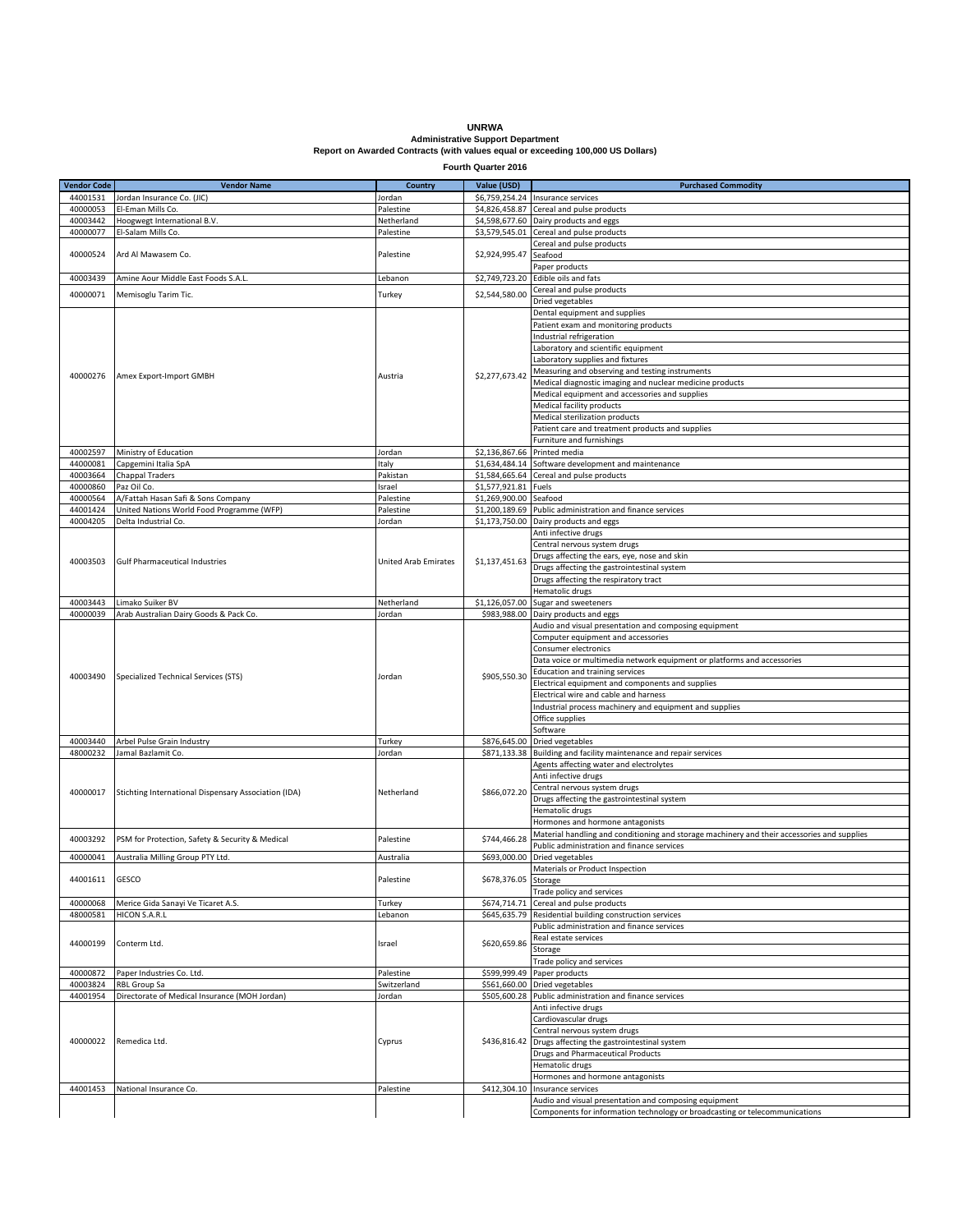## **UNRWA Administrative Support Department Report on Awarded Contracts (with values equal or exceeding 100,000 US Dollars)**

**Fourth Quarter 2016**

| <b>Vendor Code</b> | <b>Vendor Name</b>                                   | <b>Country</b>       | Value (USD)          | <b>Purchased Commodity</b>                                                                  |
|--------------------|------------------------------------------------------|----------------------|----------------------|---------------------------------------------------------------------------------------------|
|                    |                                                      |                      |                      |                                                                                             |
| 44001531           | Jordan Insurance Co. (JIC)                           | Jordan               | \$6,759,254.24       | Insurance services                                                                          |
| 40000053           | El-Eman Mills Co.                                    | Palestine            | \$4,826,458.87       | Cereal and pulse products                                                                   |
| 40003442           | Hoogwegt International B.V.                          | Netherland           |                      | \$4,598,677.60 Dairy products and eggs                                                      |
| 40000077           | El-Salam Mills Co.                                   | Palestine            |                      | \$3,579,545.01 Cereal and pulse products                                                    |
|                    |                                                      |                      |                      | Cereal and pulse products                                                                   |
| 40000524           | Ard Al Mawasem Co.                                   | Palestine            | \$2,924,995.47       | Seafood                                                                                     |
|                    |                                                      |                      |                      | Paper products                                                                              |
| 40003439           | Amine Aour Middle East Foods S.A.L.                  | ebanon.              |                      | \$2,749,723.20 Edible oils and fats                                                         |
| 40000071           | Memisoglu Tarim Tic.                                 | Turkey               | \$2,544,580.00       | Cereal and pulse products                                                                   |
|                    |                                                      |                      |                      | Dried vegetables                                                                            |
|                    |                                                      |                      |                      | Dental equipment and supplies                                                               |
|                    | Amex Export-Import GMBH                              | Austria              | \$2,277,673.42       | Patient exam and monitoring products                                                        |
|                    |                                                      |                      |                      | Industrial refrigeration                                                                    |
|                    |                                                      |                      |                      | Laboratory and scientific equipment                                                         |
|                    |                                                      |                      |                      | Laboratory supplies and fixtures                                                            |
|                    |                                                      |                      |                      | Measuring and observing and testing instruments                                             |
| 40000276           |                                                      |                      |                      | Medical diagnostic imaging and nuclear medicine products                                    |
|                    |                                                      |                      |                      | Medical equipment and accessories and supplies                                              |
|                    |                                                      |                      |                      | Medical facility products                                                                   |
|                    |                                                      |                      |                      | Medical sterilization products                                                              |
|                    |                                                      |                      |                      | Patient care and treatment products and supplies                                            |
|                    |                                                      |                      |                      | Furniture and furnishings                                                                   |
| 40002597           | Ministry of Education                                | Jordan               | \$2,136,867.66       | Printed media                                                                               |
| 44000081           |                                                      |                      | \$1,634,484.14       | Software development and maintenance                                                        |
|                    | Capgemini Italia SpA                                 | Italy                |                      |                                                                                             |
| 40003664           | Chappal Traders                                      | Pakistan             |                      | \$1,584,665.64 Cereal and pulse products                                                    |
| 40000860           | Paz Oil Co.                                          | srael                | \$1,577,921.81       | Fuels                                                                                       |
| 40000564           | A/Fattah Hasan Safi & Sons Company                   | Palestine            | \$1,269,900.00       | Seafood                                                                                     |
| 44001424           | United Nations World Food Programme (WFP)            | Palestine            | \$1,200,189.69       | Public administration and finance services                                                  |
| 40004205           | Delta Industrial Co.                                 | Jordan               | \$1,173,750.00       | Dairy products and eggs                                                                     |
|                    |                                                      |                      |                      | Anti infective drugs                                                                        |
|                    |                                                      |                      |                      | Central nervous system drugs                                                                |
| 40003503           | <b>Gulf Pharmaceutical Industries</b>                | United Arab Emirates | \$1,137,451.63       | Drugs affecting the ears, eye, nose and skin                                                |
|                    |                                                      |                      |                      | Drugs affecting the gastrointestinal system                                                 |
|                    |                                                      |                      |                      | Drugs affecting the respiratory tract                                                       |
|                    |                                                      |                      |                      | Hematolic drugs                                                                             |
| 40003443           | Limako Suiker BV                                     | Netherland           | \$1,126,057.00       | Sugar and sweeteners                                                                        |
| 40000039           | Arab Australian Dairy Goods & Pack Co.               | Jordan               | \$983,988.00         | Dairy products and eggs                                                                     |
|                    | Specialized Technical Services (STS)                 |                      |                      | Audio and visual presentation and composing equipment                                       |
|                    |                                                      |                      |                      | Computer equipment and accessories                                                          |
|                    |                                                      |                      |                      | Consumer electronics                                                                        |
|                    |                                                      |                      |                      | Data voice or multimedia network equipment or platforms and accessories                     |
|                    |                                                      |                      |                      | Education and training services                                                             |
| 40003490           |                                                      | Jordan               | \$905,550.30         | Electrical equipment and components and supplies                                            |
|                    |                                                      |                      |                      | Electrical wire and cable and harness                                                       |
|                    |                                                      |                      |                      | ndustrial process machinery and equipment and supplies                                      |
|                    |                                                      |                      |                      | Office supplies                                                                             |
|                    |                                                      |                      |                      | Software                                                                                    |
| 40003440           | Arbel Pulse Grain Industry                           |                      | \$876,645.00         |                                                                                             |
|                    | Jamal Bazlamit Co.                                   | Turkey               |                      | Dried vegetables                                                                            |
| 48000232           |                                                      | Jordan               | \$871,133.38         | Building and facility maintenance and repair services                                       |
|                    |                                                      |                      |                      | Agents affecting water and electrolytes                                                     |
|                    |                                                      |                      |                      | Anti infective drugs                                                                        |
| 40000017           | Stichting International Dispensary Association (IDA) | Netherland           | \$866,072.20         | Central nervous system drugs                                                                |
|                    |                                                      |                      |                      | Drugs affecting the gastrointestinal system                                                 |
|                    |                                                      |                      |                      | Hematolic drugs                                                                             |
|                    |                                                      |                      |                      | Hormones and hormone antagonists                                                            |
| 40003292           | PSM for Protection, Safety & Security & Medical      | Palestine            | \$744,466.28         | Material handling and conditioning and storage machinery and their accessories and supplies |
|                    |                                                      |                      |                      | Public administration and finance services                                                  |
| 40000041           | Australia Milling Group PTY Ltd.                     | Australia            |                      | \$693,000.00 Dried vegetables                                                               |
|                    |                                                      |                      |                      | Materials or Product Inspection                                                             |
| 44001611           | <b>GESCO</b>                                         | Palestine            | \$678,376.05 Storage |                                                                                             |
|                    |                                                      |                      |                      | Trade policy and services                                                                   |
| 40000068           | Merice Gida Sanayi Ve Ticaret A.S.                   | Turkey               | \$674,714.71         | Cereal and pulse products                                                                   |
| 48000581           | HICON S.A.R.L                                        | Lebanon              | \$645,635.79         | Residential building construction services                                                  |
|                    |                                                      |                      |                      | Public administration and finance services                                                  |
|                    |                                                      |                      |                      | Real estate services                                                                        |
| 44000199           | Conterm Ltd.                                         | Israel               | \$620,659.86         | Storage                                                                                     |
|                    |                                                      |                      |                      | Trade policy and services                                                                   |
| 40000872           | Paper Industries Co. Ltd.                            | Palestine            | \$599,999.49         | Paper products                                                                              |
| 40003824           | <b>RBL Group Sa</b>                                  | Switzerland          | \$561,660.00         | Dried vegetables                                                                            |
|                    | Directorate of Medical Insurance (MOH Jordan)        |                      |                      |                                                                                             |
| 44001954           |                                                      | Jordan               |                      | \$505,600.28 Public administration and finance services                                     |
|                    |                                                      |                      |                      | Anti infective drugs                                                                        |
|                    |                                                      |                      |                      | Cardiovascular drugs                                                                        |
|                    |                                                      |                      |                      | Central nervous system drugs                                                                |
| 40000022           | Remedica Ltd.                                        | Cyprus               | \$436,816.42         | Drugs affecting the gastrointestinal system                                                 |
|                    |                                                      |                      |                      | <b>Drugs and Pharmaceutical Products</b>                                                    |
|                    |                                                      |                      |                      | Hematolic drugs                                                                             |
|                    |                                                      |                      |                      | Hormones and hormone antagonists                                                            |
| 44001453           | National Insurance Co.                               | Palestine            | \$412,304.10         | Insurance services                                                                          |
|                    |                                                      |                      |                      | Audio and visual presentation and composing equipment                                       |
|                    |                                                      |                      |                      | Components for information technology or broadcasting or telecommunications                 |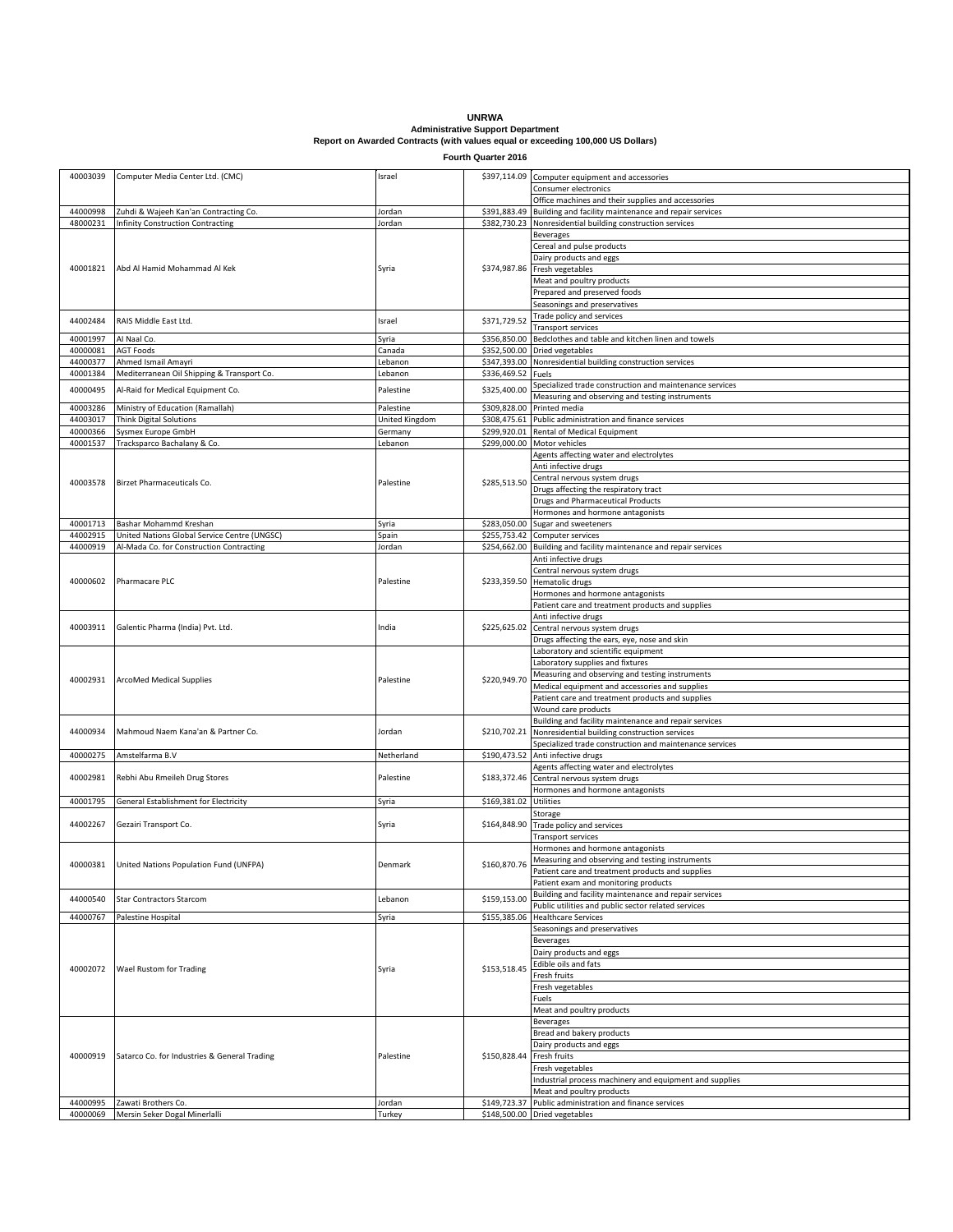**UNRWA Administrative Support Department Report on Awarded Contracts (with values equal or exceeding 100,000 US Dollars)**

**Fourth Quarter 2016**

| 40003039 | Computer Media Center Ltd. (CMC)             | Israel         | \$397,114.09 | Computer equipment and accessories                      |
|----------|----------------------------------------------|----------------|--------------|---------------------------------------------------------|
|          |                                              |                |              | Consumer electronics                                    |
|          |                                              |                |              | Office machines and their supplies and accessories      |
| 44000998 |                                              | Jordan         | \$391,883.49 |                                                         |
|          | Zuhdi & Wajeeh Kan'an Contracting Co.        |                |              | Building and facility maintenance and repair services   |
| 48000231 | Infinity Construction Contracting            | Jordan         | \$382,730.23 | Nonresidential building construction services           |
|          |                                              |                |              | <b>Beverages</b>                                        |
|          | Abd Al Hamid Mohammad Al Kek                 |                |              | Cereal and pulse products                               |
|          |                                              |                |              | Dairy products and eggs                                 |
| 40001821 |                                              | Syria          | \$374,987.86 | Fresh vegetables                                        |
|          |                                              |                |              |                                                         |
|          |                                              |                |              | Meat and poultry products                               |
|          |                                              |                |              | Prepared and preserved foods                            |
|          |                                              |                |              | Seasonings and preservatives                            |
|          |                                              |                |              | Trade policy and services                               |
| 44002484 | RAIS Middle East Ltd.                        | Israel         | \$371,729.52 | Transport services                                      |
| 40001997 | Al Naal Co.                                  |                | \$356,850.00 | Bedclothes and table and kitchen linen and towels       |
|          |                                              | Syria          |              |                                                         |
| 40000081 | <b>AGT Foods</b>                             | Canada         | \$352,500.00 | Dried vegetables                                        |
| 44000377 | Ahmed Ismail Amayri                          | Lebanon        | \$347,393.00 | Nonresidential building construction services           |
| 40001384 | Mediterranean Oil Shipping & Transport Co.   | Lebanon        | \$336,469.52 | Fuels                                                   |
|          |                                              |                |              | Specialized trade construction and maintenance services |
| 40000495 | Al-Raid for Medical Equipment Co.            | Palestine      | \$325,400.00 | Measuring and observing and testing instruments         |
| 40003286 |                                              | Palestine      | \$309,828.00 | Printed media                                           |
|          | Ministry of Education (Ramallah)             |                |              |                                                         |
| 44003017 | <b>Think Digital Solutions</b>               | United Kingdom | \$308,475.61 | Public administration and finance services              |
| 40000366 | Sysmex Europe GmbH                           | Germany        | \$299,920.01 | Rental of Medical Equipment                             |
| 40001537 | Tracksparco Bachalany & Co.                  | Lebanon        | \$299,000.00 | Motor vehicles                                          |
|          |                                              |                |              | Agents affecting water and electrolytes                 |
|          |                                              |                |              | Anti infective drugs                                    |
|          |                                              |                |              |                                                         |
| 40003578 | Birzet Pharmaceuticals Co.                   | Palestine      | \$285,513.50 | Central nervous system drugs                            |
|          |                                              |                |              | Drugs affecting the respiratory tract                   |
|          |                                              |                |              | <b>Drugs and Pharmaceutical Products</b>                |
|          |                                              |                |              | Hormones and hormone antagonists                        |
|          | 40001713 Bashar Mohammd Kreshan              | Syria          | \$283,050.00 | Sugar and sweeteners                                    |
| 44002915 | United Nations Global Service Centre (UNGSC) |                | \$255,753.42 |                                                         |
|          |                                              | Spain          |              | Computer services                                       |
| 44000919 | Al-Mada Co. for Construction Contracting     | Jordan         | \$254,662.00 | Building and facility maintenance and repair services   |
|          |                                              |                |              | Anti infective drugs                                    |
|          |                                              |                |              | Central nervous system drugs                            |
| 40000602 | Pharmacare PLC                               | Palestine      | \$233,359.50 | Hematolic drugs                                         |
|          |                                              |                |              | Hormones and hormone antagonists                        |
|          |                                              |                |              |                                                         |
|          |                                              |                |              | Patient care and treatment products and supplies        |
|          |                                              |                |              | Anti infective drugs                                    |
| 40003911 | Galentic Pharma (India) Pvt. Ltd.            | India          | \$225,625.02 | Central nervous system drugs                            |
|          |                                              |                |              | Drugs affecting the ears, eye, nose and skin            |
|          | ArcoMed Medical Supplies                     |                |              | Laboratory and scientific equipment                     |
|          |                                              |                |              |                                                         |
|          |                                              |                |              | Laboratory supplies and fixtures                        |
| 40002931 |                                              | Palestine      | \$220,949.70 | Measuring and observing and testing instruments         |
|          |                                              |                |              | Medical equipment and accessories and supplies          |
|          |                                              |                |              | Patient care and treatment products and supplies        |
|          |                                              |                |              | Wound care products                                     |
|          |                                              |                |              | Building and facility maintenance and repair services   |
|          |                                              |                |              |                                                         |
| 44000934 | Mahmoud Naem Kana'an & Partner Co.           | Jordan         | \$210,702.21 | Nonresidential building construction services           |
|          |                                              |                |              | Specialized trade construction and maintenance services |
| 40000275 | Amstelfarma B.V                              | Netherland     | \$190,473.52 | Anti infective drugs                                    |
|          |                                              |                |              | Agents affecting water and electrolytes                 |
| 40002981 | Rebhi Abu Rmeileh Drug Stores                | Palestine      | \$183,372.46 | Central nervous system drugs                            |
|          |                                              |                |              |                                                         |
|          |                                              |                |              | Hormones and hormone antagonists                        |
| 40001795 | General Establishment for Electricity        | Syria          | \$169,381.02 | Utilities                                               |
|          |                                              |                |              | Storage                                                 |
| 44002267 | Gezairi Transport Co.                        | Syria          | \$164,848.90 | Trade policy and services                               |
|          |                                              |                |              | <b>Transport services</b>                               |
|          |                                              |                |              | Hormones and hormone antagonists                        |
|          | United Nations Population Fund (UNFPA)       |                |              |                                                         |
| 40000381 |                                              | Denmark        | \$160,870.76 | Measuring and observing and testing instruments         |
|          |                                              |                |              | Patient care and treatment products and supplies        |
|          |                                              |                |              | Patient exam and monitoring products                    |
|          |                                              |                |              | Building and facility maintenance and repair services   |
| 44000540 | <b>Star Contractors Starcom</b>              | Lebanon        | \$159,153.00 | Public utilities and public sector related services     |
| 44000767 | Palestine Hospital                           |                | \$155,385.06 | <b>Healthcare Services</b>                              |
|          |                                              | Syria          |              |                                                         |
|          |                                              |                |              | Seasonings and preservatives                            |
|          | Wael Rustom for Trading                      | Syria          |              | <b>Beverages</b>                                        |
|          |                                              |                |              | Dairy products and eggs                                 |
|          |                                              |                |              | Edible oils and fats                                    |
| 40002072 |                                              |                | \$153,518.45 | Fresh fruits                                            |
|          |                                              |                |              |                                                         |
|          |                                              |                |              | Fresh vegetables                                        |
|          |                                              |                |              | Fuels                                                   |
|          |                                              |                |              | Meat and poultry products                               |
| 40000919 | Satarco Co. for Industries & General Trading | Palestine      |              | <b>Beverages</b>                                        |
|          |                                              |                |              | Bread and bakery products                               |
|          |                                              |                |              |                                                         |
|          |                                              |                |              | Dairy products and eggs                                 |
|          |                                              |                | \$150,828.44 | Fresh fruits                                            |
|          |                                              |                |              | Fresh vegetables                                        |
|          |                                              |                |              | Industrial process machinery and equipment and supplies |
|          |                                              |                |              | Meat and poultry products                               |
| 44000995 | Zawati Brothers Co.                          | Jordan         | \$149,723.37 | Public administration and finance services              |
|          |                                              | Turkey         |              | \$148,500.00 Dried vegetables                           |
| 40000069 | Mersin Seker Dogal Minerlalli                |                |              |                                                         |